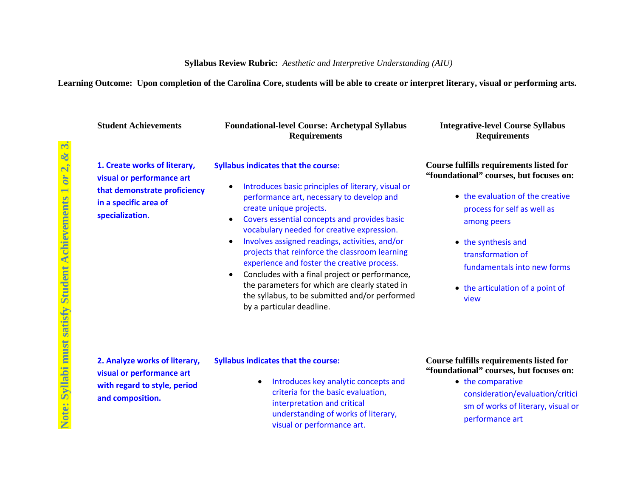## **Syllabus Review Rubric:** *Aesthetic and Interpretive Understanding (AIU)*

**Learning Outcome: Upon completion of the Carolina Core, students will be able to create or interpret literary, visual or performing arts.**

| <b>Student Achievements</b>                                                                                                           | <b>Foundational-level Course: Archetypal Syllabus</b><br><b>Requirements</b>                                                                                                                                                                                                                                                                                                                                                                                                                                                                                                                                                                        | <b>Integrative-level Course Syllabus</b><br><b>Requirements</b>                                                                                                                                                                                                                                    |
|---------------------------------------------------------------------------------------------------------------------------------------|-----------------------------------------------------------------------------------------------------------------------------------------------------------------------------------------------------------------------------------------------------------------------------------------------------------------------------------------------------------------------------------------------------------------------------------------------------------------------------------------------------------------------------------------------------------------------------------------------------------------------------------------------------|----------------------------------------------------------------------------------------------------------------------------------------------------------------------------------------------------------------------------------------------------------------------------------------------------|
| 1. Create works of literary,<br>visual or performance art<br>that demonstrate proficiency<br>in a specific area of<br>specialization. | <b>Syllabus indicates that the course:</b><br>Introduces basic principles of literary, visual or<br>$\bullet$<br>performance art, necessary to develop and<br>create unique projects.<br>Covers essential concepts and provides basic<br>$\bullet$<br>vocabulary needed for creative expression.<br>Involves assigned readings, activities, and/or<br>$\bullet$<br>projects that reinforce the classroom learning<br>experience and foster the creative process.<br>Concludes with a final project or performance,<br>the parameters for which are clearly stated in<br>the syllabus, to be submitted and/or performed<br>by a particular deadline. | <b>Course fulfills requirements listed for</b><br>"foundational" courses, but focuses on:<br>• the evaluation of the creative<br>process for self as well as<br>among peers<br>• the synthesis and<br>transformation of<br>fundamentals into new forms<br>• the articulation of a point of<br>view |
| 2. Analyze works of literary,<br>visual or performance art<br>with regard to style, period<br>and composition.                        | <b>Syllabus indicates that the course:</b><br>Introduces key analytic concepts and<br>$\bullet$<br>criteria for the basic evaluation,<br>interpretation and critical<br>understanding of works of literary,<br>visual or performance art.                                                                                                                                                                                                                                                                                                                                                                                                           | <b>Course fulfills requirements listed for</b><br>"foundational" courses, but focuses on:<br>• the comparative<br>consideration/evaluation/critici<br>sm of works of literary, visual or<br>performance art                                                                                        |